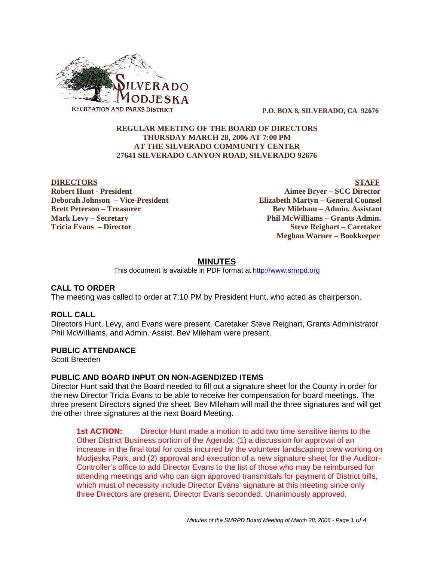

 **P.O. BOX 8, SILVERADO, CA 92676**

## **REGULAR MEETING OF THE BOARD OF DIRECTORS THURSDAY MARCH 28, 2006 AT 7:00 PM AT THE SILVERADO COMMUNITY CENTER 27641 SILVERADO CANYON ROAD, SILVERADO 92676**

**DIRECTORS** STAFF **Robert Hunt - President Aimee Bryer – SCC Director Deborah Johnson – Vice-President Elizabeth Martyn – General Counsel Brett Peterson – Treasurer States and Bev Mileham – Admin. Assistant Mark Levy – Secretary Phil McWilliams – Grants Admin. Tricia Evans – Director Steve Reighart – Caretaker Meghan Warner – Bookkeeper**

## **MINUTES**

This document is available in PDF format at http://www.smrpd.org

## **CALL TO ORDER**

The meeting was called to order at 7:10 PM by President Hunt, who acted as chairperson.

#### **ROLL CALL**

Directors Hunt, Levy, and Evans were present. Caretaker Steve Reighart, Grants Administrator Phil McWilliams, and Admin. Assist. Bev Mileham were present.

## **PUBLIC ATTENDANCE**

Scott Breeden

#### **PUBLIC AND BOARD INPUT ON NON-AGENDIZED ITEMS**

Director Hunt said that the Board needed to fill out a signature sheet for the County in order for the new Director Tricia Evans to be able to receive her compensation for board meetings. The three present Directors signed the sheet. Bev Mileham will mail the three signatures and will get the other three signatures at the next Board Meeting.

**1st ACTION:** Director Hunt made a motion to add two time sensitive items to the Other District Business portion of the Agenda: (1) a discussion for approval of an increase in the final total for costs incurred by the volunteer landscaping crew working on Modjeska Park, and (2) approval and execution of a new signature sheet for the Auditor-Controller's office to add Director Evans to the list of those who may be reimbursed for attending meetings and who can sign approved transmittals for payment of District bills, which must of necessity include Director Evans' signature at this meeting since only three Directors are present. Director Evans seconded. Unanimously approved.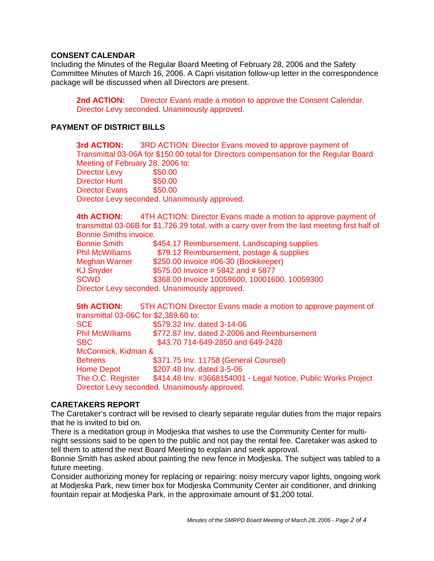# **CONSENT CALENDAR**

Including the Minutes of the Regular Board Meeting of February 28, 2006 and the Safety Committee Minutes of March 16, 2006. A Capri visitation follow-up letter in the correspondence package will be discussed when all Directors are present.

**2nd ACTION:** Director Evans made a motion to approve the Consent Calendar. Director Levy seconded. Unanimously approved.

# **PAYMENT OF DISTRICT BILLS**

**3rd ACTION:** 3RD ACTION: Director Evans moved to approve payment of Transmittal 03-06A for \$150.00 total for Directors compensation for the Regular Board Meeting of February 28, 2006 to:

Director Levy \$50.00 Director Hunt \$50.00 Director Evans \$50.00 Director Levy seconded. Unanimously approved.

**4th ACTION:** 4TH ACTION: Director Evans made a motion to approve payment of transmittal 03-06B for \$1,726.29 total, with a carry over from the last meeting first half of Bonnie Smiths invoice.

| <b>Bonnie Smith</b>    | \$454.17 Reimbursement, Landscaping supplies  |
|------------------------|-----------------------------------------------|
| <b>Phil McWilliams</b> | \$79.12 Reimbursement, postage & supplies     |
| Meghan Warner          | \$250.00 Invoice #06-30 (Bookkeeper)          |
| <b>KJ Snyder</b>       | \$575.00 Invoice #5842 and #5877              |
| SCWD                   | \$368.00 Invoice 10059600, 10001600, 10059300 |
|                        | Director Levy seconded. Unanimously approved. |

**5th ACTION:** 5TH ACTION Director Evans made a motion to approve payment of transmittal 03-06C for \$2,389.60 to: SCE \$579.32 Inv. dated 3-14-06 Phil McWilliams \$772.87 Inv. dated 2-2006 and Reimbursement SBC \$43.70 714-649-2850 and 649-2428 McCormick, Kidman & Behrens \$371.75 Inv. 11758 (General Counsel) Home Depot \$207.48 Inv. dated 3-5-06 The O.C. Register \$414.48 Inv. #3668154001 - Legal Notice, Public Works Project Director Levy seconded. Unanimously approved.

# **CARETAKERS REPORT**

The Caretaker's contract will be revised to clearly separate regular duties from the major repairs that he is invited to bid on.

There is a meditation group in Modjeska that wishes to use the Community Center for multinight sessions said to be open to the public and not pay the rental fee. Caretaker was asked to tell them to attend the next Board Meeting to explain and seek approval.

Bonnie Smith has asked about painting the new fence in Modjeska. The subject was tabled to a future meeting.

Consider authorizing money for replacing or repairing: noisy mercury vapor lights, ongoing work at Modjeska Park, new timer box for Modjeska Community Center air conditioner, and drinking fountain repair at Modjeska Park, in the approximate amount of \$1,200 total.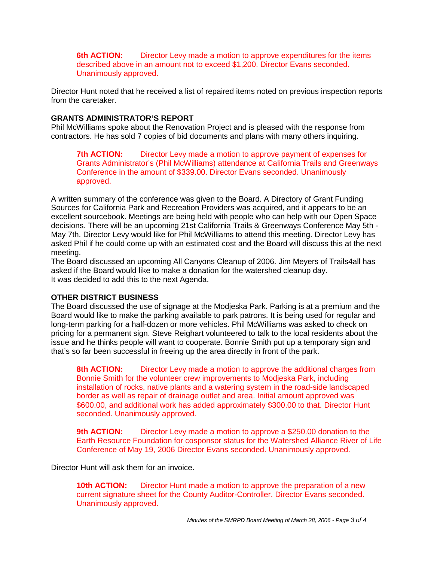**6th ACTION:** Director Levy made a motion to approve expenditures for the items described above in an amount not to exceed \$1,200. Director Evans seconded. Unanimously approved.

Director Hunt noted that he received a list of repaired items noted on previous inspection reports from the caretaker.

## **GRANTS ADMINISTRATOR'S REPORT**

Phil McWilliams spoke about the Renovation Project and is pleased with the response from contractors. He has sold 7 copies of bid documents and plans with many others inquiring.

**7th ACTION:** Director Levy made a motion to approve payment of expenses for Grants Administrator's (Phil McWilliams) attendance at California Trails and Greenways Conference in the amount of \$339.00. Director Evans seconded. Unanimously approved.

A written summary of the conference was given to the Board. A Directory of Grant Funding Sources for California Park and Recreation Providers was acquired, and it appears to be an excellent sourcebook. Meetings are being held with people who can help with our Open Space decisions. There will be an upcoming 21st California Trails & Greenways Conference May 5th - May 7th. Director Levy would like for Phil McWilliams to attend this meeting. Director Levy has asked Phil if he could come up with an estimated cost and the Board will discuss this at the next meeting.

The Board discussed an upcoming All Canyons Cleanup of 2006. Jim Meyers of Trails4all has asked if the Board would like to make a donation for the watershed cleanup day. It was decided to add this to the next Agenda.

## **OTHER DISTRICT BUSINESS**

The Board discussed the use of signage at the Modjeska Park. Parking is at a premium and the Board would like to make the parking available to park patrons. It is being used for regular and long-term parking for a half-dozen or more vehicles. Phil McWilliams was asked to check on pricing for a permanent sign. Steve Reighart volunteered to talk to the local residents about the issue and he thinks people will want to cooperate. Bonnie Smith put up a temporary sign and that's so far been successful in freeing up the area directly in front of the park.

**8th ACTION:** Director Levy made a motion to approve the additional charges from Bonnie Smith for the volunteer crew improvements to Modjeska Park, including installation of rocks, native plants and a watering system in the road-side landscaped border as well as repair of drainage outlet and area. Initial amount approved was \$600.00, and additional work has added approximately \$300.00 to that. Director Hunt seconded. Unanimously approved.

**9th ACTION:** Director Levy made a motion to approve a \$250.00 donation to the Earth Resource Foundation for cosponsor status for the Watershed Alliance River of Life Conference of May 19, 2006 Director Evans seconded. Unanimously approved.

Director Hunt will ask them for an invoice.

**10th ACTION:** Director Hunt made a motion to approve the preparation of a new current signature sheet for the County Auditor-Controller. Director Evans seconded. Unanimously approved.